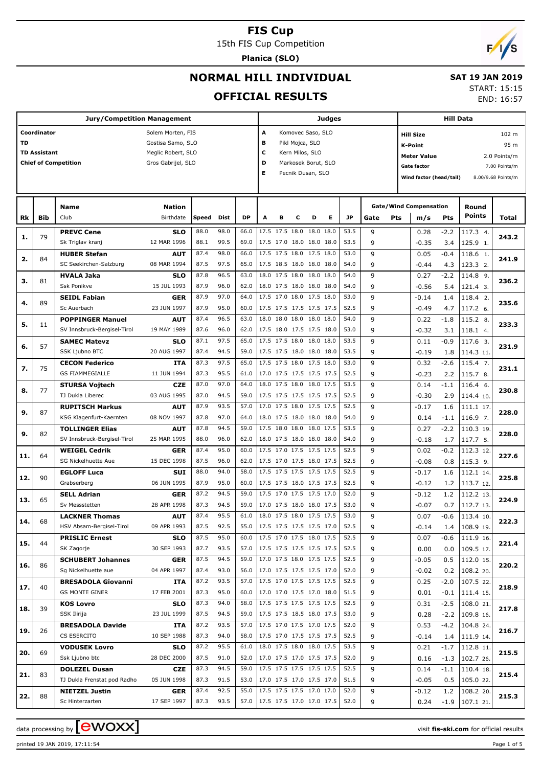15th FIS Cup Competition

**Planica (SLO)**

# $F/1/s$

## **NORMAL HILL INDIVIDUAL**

## **SAT 19 JAN 2019**

#### **OFFICIAL RESULTS**

START: 15:15

END: 16:57

|     |                     | <b>Jury/Competition Management</b>          |                           |              |              |              |                          | <b>Judges</b>                                        |                 |                     |                          |              | <b>Hill Data</b> |     |                                          |             |                       |                    |
|-----|---------------------|---------------------------------------------|---------------------------|--------------|--------------|--------------|--------------------------|------------------------------------------------------|-----------------|---------------------|--------------------------|--------------|------------------|-----|------------------------------------------|-------------|-----------------------|--------------------|
|     | Coordinator         |                                             | Solem Morten, FIS         |              |              |              | A                        |                                                      |                 | Komovec Saso, SLO   |                          |              |                  |     | <b>Hill Size</b>                         |             |                       | 102 m              |
| TD  |                     |                                             | Gostisa Samo, SLO         |              |              |              | в                        |                                                      | Pikl Mojca, SLO |                     |                          |              |                  |     | <b>K-Point</b>                           |             |                       | 95 m               |
|     | <b>TD Assistant</b> |                                             | Meglic Robert, SLO        |              |              |              | c                        |                                                      |                 | Kern Milos, SLO     |                          |              |                  |     |                                          |             |                       |                    |
|     |                     | <b>Chief of Competition</b>                 | Gros Gabrijel, SLO        |              |              |              | D                        |                                                      |                 | Markosek Borut, SLO |                          |              |                  |     | <b>Meter Value</b><br><b>Gate factor</b> |             |                       | 2.0 Points/m       |
|     |                     |                                             |                           |              |              |              | E.                       |                                                      |                 | Pecnik Dusan, SLO   |                          |              |                  |     |                                          |             |                       | 7.00 Points/m      |
|     |                     |                                             |                           |              |              |              |                          |                                                      |                 |                     |                          |              |                  |     | Wind factor (head/tail)                  |             |                       | 8.00/9.68 Points/m |
|     |                     |                                             |                           |              |              |              |                          |                                                      |                 |                     |                          |              |                  |     |                                          |             |                       |                    |
|     |                     | <b>Name</b>                                 | <b>Nation</b>             |              |              |              |                          |                                                      |                 |                     |                          |              |                  |     | <b>Gate/Wind Compensation</b>            |             | Round                 |                    |
| Rk  | <b>Bib</b>          | Club                                        | Birthdate                 | Speed        | Dist         | <b>DP</b>    | A                        | в                                                    | с               | D                   | Е                        | JP           | Gate             | Pts | m/s                                      | Pts         | Points                | Total              |
|     |                     | <b>PREVC Cene</b>                           | <b>SLO</b>                | 88.0         | 98.0         | 66.0         |                          | 17.5 17.5 18.0 18.0 18.0                             |                 |                     |                          | 53.5         | 9                |     | 0.28                                     | -2.2        | 117.3 4.              |                    |
| 1.  | 79                  | Sk Triglav kranj                            | 12 MAR 1996               | 88.1         | 99.5         | 69.0         |                          | 17.5 17.0 18.0 18.0 18.0                             |                 |                     |                          | 53.5         | 9                |     | $-0.35$                                  | 3.4         | 125.9 1.              | 243.2              |
|     |                     | <b>HUBER Stefan</b>                         | <b>AUT</b>                | 87.4         | 98.0         | 66.0         |                          | 17.5 17.5 18.0 17.5 18.0                             |                 |                     |                          | 53.0         | 9                |     | 0.05                                     | -0.4        | 118.6 1.              |                    |
| 2.  | 84                  | SC Seekirchen-Salzburg                      | 08 MAR 1994               | 87.5         | 97.5         | 65.0         |                          | 17.5 18.5 18.0 18.0 18.0                             |                 |                     |                          | 54.0         | 9                |     | $-0.44$                                  | 4.3         | 123.3 2.              | 241.9              |
|     |                     | <b>HVALA Jaka</b>                           | <b>SLO</b>                | 87.8         | 96.5         | 63.0         |                          | 18.0 17.5 18.0 18.0 18.0                             |                 |                     |                          | 54.0         | 9                |     | 0.27                                     | $-2.2$      | 114.8 9.              |                    |
| з.  | 81                  | <b>Ssk Ponikve</b>                          | 15 JUL 1993               | 87.9         | 96.0         | 62.0         |                          | 18.0 17.5 18.0 18.0 18.0                             |                 |                     |                          | 54.0         | 9                |     | $-0.56$                                  | 5.4         | 121.4 3.              | 236.2              |
|     |                     | <b>SEIDL Fabian</b>                         | <b>GER</b>                | 87.9         | 97.0         | 64.0         |                          | 17.5 17.0 18.0 17.5 18.0                             |                 |                     |                          | 53.0         | 9                |     | $-0.14$                                  | 1.4         | 118.4 2.              |                    |
| 4.  | 89                  | Sc Auerbach                                 | 23 JUN 1997               | 87.9         | 95.0         | 60.0         |                          | 17.5 17.5 17.5 17.5 17.5                             |                 |                     |                          | 52.5         | 9                |     | $-0.49$                                  | 4.7         | 117.2 6.              | 235.6              |
| 5.  | 11                  | <b>POPPINGER Manuel</b>                     | <b>AUT</b>                | 87.4         | 96.5         | 63.0         |                          | 18.0 18.0 18.0 18.0 18.0                             |                 |                     |                          | 54.0         | 9                |     | 0.22                                     | -1.8        | 115.2 8.              | 233.3              |
|     |                     | SV Innsbruck-Bergisel-Tirol                 | 19 MAY 1989               | 87.6         | 96.0         | 62.0         |                          | 17.5 18.0 17.5 17.5 18.0                             |                 |                     |                          | 53.0         | 9                |     | $-0.32$                                  | 3.1         | 118.1 4.              |                    |
| 6.  | 57                  | <b>SAMEC Matevz</b>                         | <b>SLO</b>                | 87.1         | 97.5         | 65.0         |                          | 17.5 17.5 18.0 18.0 18.0                             |                 |                     |                          | 53.5         | 9                |     | 0.11                                     | $-0.9$      | 117.6 3.              | 231.9              |
|     |                     | SSK Ljubno BTC                              | 20 AUG 1997               | 87.4         | 94.5         | 59.0         |                          | 17.5 17.5 18.0 18.0 18.0                             |                 |                     |                          | 53.5         | 9                |     | $-0.19$                                  | 1.8         | 114.3 11.             |                    |
| 7.  | 75                  | <b>CECON Federico</b>                       | <b>ITA</b>                | 87.3         | 97.5         | 65.0         |                          | 17.5 17.5 18.0 17.5 18.0                             |                 |                     |                          | 53.0         | 9                |     | 0.32                                     | -2.6        | 115.4 7.              | 231.1              |
|     |                     | <b>GS FIAMMEGIALLE</b>                      | 11 JUN 1994               | 87.3         | 95.5         | 61.0         |                          | 17.0 17.5 17.5 17.5 17.5                             |                 |                     |                          | 52.5         | 9                |     | $-0.23$                                  | 2.2         | 115.7 8.              |                    |
| 8.  | 77                  | <b>STURSA Vojtech</b>                       | <b>CZE</b>                | 87.0         | 97.0         | 64.0         |                          | 18.0 17.5 18.0 18.0 17.5                             |                 |                     |                          | 53.5         | 9                |     | 0.14                                     | -1.1        | 116.4 6.              | 230.8              |
|     |                     | TJ Dukla Liberec                            | 03 AUG 1995               | 87.0         | 94.5         | 59.0         |                          | 17.5 17.5 17.5 17.5 17.5                             |                 |                     |                          | 52.5         | 9                |     | $-0.30$                                  | 2.9         | 114.4 10.             |                    |
| 9.  | 87                  | <b>RUPITSCH Markus</b>                      | <b>AUT</b>                | 87.9         | 93.5         | 57.0         |                          | 17.0 17.5 18.0 17.5 17.5                             |                 |                     |                          | 52.5         | 9                |     | $-0.17$                                  | 1.6         | 111.1 17.             | 228.0              |
|     |                     | KSG Klagenfurt-Kaernten                     | 08 NOV 1997               | 87.8         | 97.0         | 64.0         |                          | 18.0 17.5 18.0 18.0 18.0                             |                 |                     |                          | 54.0         | 9                |     | 0.14                                     | $-1.1$      | 116.9 7.              |                    |
| 9.  | 82                  | <b>TOLLINGER Elias</b>                      | <b>AUT</b>                | 87.8         | 94.5         | 59.0         |                          | 17.5 18.0 18.0 18.0 17.5                             |                 |                     |                          | 53.5         | 9                |     | 0.27                                     | $-2.2$      | 110.3 19.             | 228.0              |
|     |                     | SV Innsbruck-Bergisel-Tirol                 | 25 MAR 1995               | 88.0<br>87.4 | 96.0<br>95.0 | 62.0<br>60.0 |                          | 18.0 17.5 18.0 18.0 18.0<br>17.5 17.0 17.5 17.5 17.5 |                 |                     |                          | 54.0<br>52.5 | 9<br>9           |     | $-0.18$                                  | 1.7         | 117.7 5.              |                    |
| 11. | 64                  | <b>WEIGEL Cedrik</b><br>SG Nickelhuette Aue | <b>GER</b><br>15 DEC 1998 | 87.5         | 96.0         | 62.0         |                          | 17.5 17.0 17.5 18.0 17.5                             |                 |                     |                          | 52.5         | 9                |     | 0.02<br>$-0.08$                          | -0.2<br>0.8 | 112.3 12.<br>115.3 9. | 227.6              |
|     |                     | <b>EGLOFF Luca</b>                          | <b>SUI</b>                | 88.0         | 94.0         | 58.0         |                          | 17.5 17.5 17.5 17.5 17.5                             |                 |                     |                          | 52.5         | 9                |     | $-0.17$                                  | 1.6         | 112.1 14.             |                    |
| 12. | 90                  | Grabserberg                                 | 06 JUN 1995               | 87.9         | 95.0         | 60.0         |                          | 17.5 17.5 18.0 17.5 17.5                             |                 |                     |                          | 52.5         | 9                |     | $-0.12$                                  | 1.2         | 113.7 12.             | 225.8              |
|     |                     | <b>SELL Adrian</b>                          | <b>GER</b>                | 87.2         | 94.5         | 59.0         |                          | 17.5 17.0 17.5 17.5 17.0                             |                 |                     |                          | 52.0         | 9                |     | $-0.12$                                  | 1.2         | 112.2 13.             |                    |
| 13. | 65                  | Sv Messstetten                              | 28 APR 1998               | 87.3         | 94.5         | 59.0         |                          | 17.0 17.5 18.0 18.0 17.5                             |                 |                     |                          | 53.0         | 9                |     | $-0.07$                                  | 0.7         | 112.7 13.             | 224.9              |
|     |                     | <b>LACKNER Thomas</b>                       | <b>AUT</b>                | 87.4         | 95.5         | 61.0         |                          | 18.0 17.5 18.0 17.5 17.5                             |                 |                     |                          | 53.0         | $\mathsf q$      |     | 0.07                                     | $-0.6$      | 113.4 10.             |                    |
| 14. | 68                  | HSV Absam-Bergisel-Tirol                    | 09 APR 1993               | 87.5         | 92.5         | 55.0         | 17.5 17.5 17.5 17.5 17.0 |                                                      |                 |                     |                          | 52.5         | 9                |     | $-0.14$                                  | 1.4         | 108.9 19.             | 222.3              |
|     |                     | <b>PRISLIC Ernest</b>                       | <b>SLO</b>                | 87.5         | 95.0         | 60.0         |                          | 17.5 17.0 17.5 18.0 17.5                             |                 |                     |                          | 52.5         | 9                |     | 0.07                                     | -0.6        | 111.9 16.             |                    |
| 15. | 44                  | SK Zagorje                                  | 30 SEP 1993               | 87.7         | 93.5         | 57.0         | 17.5 17.5 17.5 17.5 17.5 |                                                      |                 |                     |                          | 52.5         | 9                |     | 0.00                                     | 0.0         | 109.5 17.             | 221.4              |
|     |                     | <b>SCHUBERT Johannes</b>                    | <b>GER</b>                | 87.5         | 94.5         | 59.0         |                          | 17.0 17.5 18.0 17.5 17.5                             |                 |                     |                          | 52.5         | 9                |     | $-0.05$                                  | 0.5         | 112.0 15.             |                    |
| 16. | 86                  | Sg Nickelhuette aue                         | 04 APR 1997               | 87.4         | 93.0         | 56.0         | 17.0 17.5 17.5 17.5 17.0 |                                                      |                 |                     |                          | 52.0         | 9                |     | $-0.02$                                  | 0.2         | 108.2 20.             | 220.2              |
| 17. | 40                  | <b>BRESADOLA Giovanni</b>                   | ITA                       | 87.2         | 93.5         | 57.0         |                          | 17.5 17.0 17.5 17.5 17.5                             |                 |                     |                          | 52.5         | 9                |     | 0.25                                     | $-2.0$      | 107.5 22.             | 218.9              |
|     |                     | GS MONTE GINER                              | 17 FEB 2001               | 87.3         | 95.0         | 60.0         | 17.0 17.0 17.5 17.0 18.0 |                                                      |                 |                     |                          | 51.5         | 9                |     | 0.01                                     | $-0.1$      | 111.4 15.             |                    |
| 18. | 39                  | <b>KOS Lovro</b>                            | <b>SLO</b>                | 87.3         | 94.0         | 58.0         |                          | 17.5 17.5 17.5 17.5 17.5                             |                 |                     |                          | 52.5         | 9                |     | 0.31                                     | $-2.5$      | 108.0 21.             | 217.8              |
|     |                     | SSK Ilirija                                 | 23 JUL 1999               | 87.5         | 94.5         | 59.0         | 17.5 17.5 18.5 18.0 17.5 |                                                      |                 |                     |                          | 53.0         | 9                |     | 0.28                                     | $-2.2$      | 109.8 16.             |                    |
| 19. | 26                  | <b>BRESADOLA Davide</b>                     | ITA                       | 87.2         | 93.5         | 57.0         |                          | 17.5 17.0 17.5 17.0 17.5                             |                 |                     |                          | 52.0         | 9                |     | 0.53                                     | -4.2        | 104.8 24.             | 216.7              |
|     |                     | CS ESERCITO                                 | 10 SEP 1988               | 87.3         | 94.0         | 58.0         |                          |                                                      |                 |                     | 17.5 17.0 17.5 17.5 17.5 | 52.5         | 9                |     | $-0.14$                                  | 1.4         | 111.9 14.             |                    |
| 20. | 69                  | <b>VODUSEK Lovro</b>                        | <b>SLO</b>                | 87.2         | 95.5         | 61.0         |                          | 18.0 17.5 18.0 18.0 17.5                             |                 |                     |                          | 53.5         | 9                |     | 0.21                                     | $-1.7$      | 112.8 11.             | 215.5              |
|     |                     | Ssk Ljubno btc                              | 28 DEC 2000               | 87.5         | 91.0         | 52.0         |                          |                                                      |                 |                     | 17.0 17.5 17.0 17.5 17.5 | 52.0         | 9                |     | 0.16                                     | $-1.3$      | 102.7 26.             |                    |
| 21. | 83                  | <b>DOLEZEL Dusan</b>                        | CZE                       | 87.3         | 94.5         | 59.0         |                          | 17.5 17.5 17.5 17.5 17.5                             |                 |                     |                          | 52.5         | 9                |     | 0.14                                     | $-1.1$      | 110.4 18.             | 215.4              |
|     |                     | TJ Dukla Frenstat pod Radho                 | 05 JUN 1998               | 87.3<br>87.4 | 91.5<br>92.5 | 53.0<br>55.0 | 17.0 17.5 17.0 17.5 17.0 | 17.5 17.5 17.5 17.0 17.0                             |                 |                     |                          | 51.5<br>52.0 | 9                |     | $-0.05$                                  | 0.5         | 105.0 22.             |                    |
| 22. | 88                  | <b>NIETZEL Justin</b><br>Sc Hinterzarten    | <b>GER</b><br>17 SEP 1997 | 87.3         | 93.5         | 57.0         | 17.5 17.5 17.0 17.0 17.5 |                                                      |                 |                     |                          | 52.0         | 9<br>9           |     | $-0.12$<br>0.24                          | 1.2         | 108.2 20.             | 215.3              |
|     |                     |                                             |                           |              |              |              |                          |                                                      |                 |                     |                          |              |                  |     |                                          | -1.9        | 107.1 21.             |                    |

printed 19 JAN 2019, 17:11:54 Page 1 of 5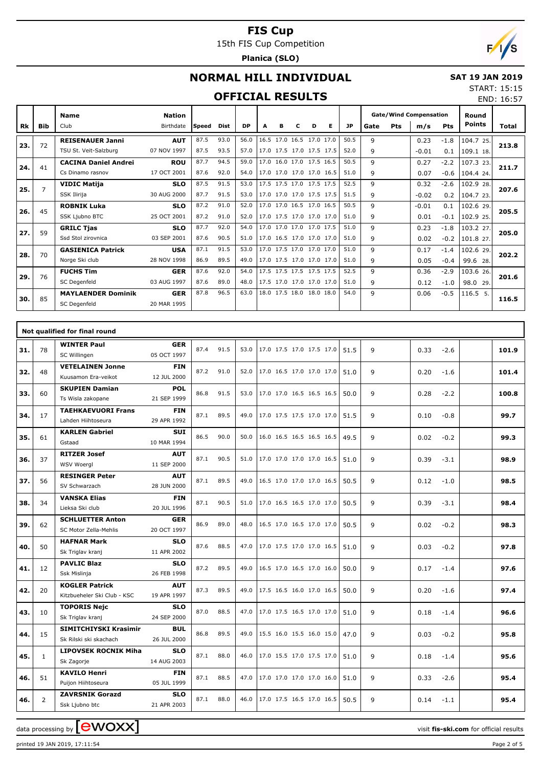15th FIS Cup Competition

**Planica (SLO)**



#### **NORMAL HILL INDIVIDUAL**

#### **SAT 19 JAN 2019** START: 15:15

#### **OFFICIAL R**

|                          |     |                         |                 |      |         | <b>OFFICIAL RESULTS</b> |  |                             |    |      |        |     |                               |                 |               | END: 16:57   |
|--------------------------|-----|-------------------------|-----------------|------|---------|-------------------------|--|-----------------------------|----|------|--------|-----|-------------------------------|-----------------|---------------|--------------|
|                          |     | <b>Name</b>             | <b>Nation</b>   |      |         |                         |  |                             |    |      |        |     | <b>Gate/Wind Compensation</b> |                 | Round         |              |
| Rk                       | Bib | Club                    | Birthdate Speed |      | Dist    | <b>DP</b>               |  | D                           | Е. | JP   | Gate   | Pts | m/s                           | Pts             | <b>Points</b> | <b>Total</b> |
| $\overline{\phantom{a}}$ |     | <b>REISENAUER Janni</b> | <b>AUT</b>      | 87.5 | 93.0    | 56.0                    |  | $16.5$ 17.0 16.5 17.0 17.0  |    | 50.5 |        |     | 0.23                          | $-1.8$          | 104.725       |              |
| 23.                      | 72  | TCIICL. VAIECalku       | 07 N0111007     |      | 0750075 |                         |  | EZO 170 17E 170 17E 17E E2O |    |      | $\sim$ |     | 0.01                          | $0 + 1100 + 10$ | 213.8         |              |

| 23. | 72             | <b>REISENAUER Janni</b>     | <b>AUT</b>  | 87.5 | 93.0 | 56.0 | 16.5 17.0 16.5 17.0 17.0 | 50.5 | 9            | 0.23    | $-1.8$ | 104.7 25. | 213.8 |
|-----|----------------|-----------------------------|-------------|------|------|------|--------------------------|------|--------------|---------|--------|-----------|-------|
|     |                | TSU St. Veit-Salzburg       | 07 NOV 1997 | 87.5 | 93.5 | 57.0 | 17.0 17.5 17.0 17.5 17.5 | 52.0 | 9            | $-0.01$ | 0.1    | 109.1 18. |       |
| 24. | 41             | <b>CACINA Daniel Andrei</b> | <b>ROU</b>  | 87.7 | 94.5 | 59.0 | 17.0 16.0 17.0 17.5 16.5 | 50.5 | 9            | 0.27    | $-2.2$ | 107.3 23. | 211.7 |
|     |                | Cs Dinamo rasnov            | 17 OCT 2001 | 87.6 | 92.0 | 54.0 | 17.0 17.0 17.0 17.0 16.5 | 51.0 | 9            | 0.07    | $-0.6$ | 104.4 24. |       |
| 25. | $\overline{7}$ | <b>VIDIC Matija</b>         | <b>SLO</b>  | 87.5 | 91.5 | 53.0 | 17.5 17.5 17.0 17.5 17.5 | 52.5 | $\mathsf q$  | 0.32    | $-2.6$ | 102.9 28. | 207.6 |
|     |                | SSK Ilirija                 | 30 AUG 2000 | 87.7 | 91.5 | 53.0 | 17.0 17.0 17.0 17.5 17.5 | 51.5 | 9            | $-0.02$ | 0.2    | 104.7 23. |       |
| 26. | 45             | <b>ROBNIK Luka</b>          | <b>SLO</b>  | 87.2 | 91.0 | 52.0 | 17.0 17.0 16.5 17.0 16.5 | 50.5 | 9            | $-0.01$ | 0.1    | 102.6 29. | 205.5 |
|     |                | SSK Ljubno BTC              | 25 OCT 2001 | 87.2 | 91.0 | 52.0 | 17.0 17.5 17.0 17.0 17.0 | 51.0 | 9            | 0.01    | $-0.1$ | 102.9 25. |       |
| 27. | 59             | <b>GRILC Tjas</b>           | <b>SLO</b>  | 87.7 | 92.0 | 54.0 | 17.0 17.0 17.0 17.0 17.5 | 51.0 | $\mathsf{q}$ | 0.23    | $-1.8$ | 103.2 27. | 205.0 |
|     |                | Ssd Stol zirovnica          | 03 SEP 2001 | 87.6 | 90.5 | 51.0 | 17.0 16.5 17.0 17.0 17.0 | 51.0 | 9            | 0.02    | $-0.2$ | 101.8 27. |       |
| 28. | 70             | <b>GASIENICA Patrick</b>    | <b>USA</b>  | 87.1 | 91.5 | 53.0 | 17.0 17.5 17.0 17.0 17.0 | 51.0 | $\mathsf{q}$ | 0.17    | $-1.4$ | 102.6 29. | 202.2 |
|     |                | Norge Ski club              | 28 NOV 1998 | 86.9 | 89.5 | 49.0 | 17.0 17.5 17.0 17.0 17.0 | 51.0 | 9            | 0.05    | $-0.4$ | 99.6 28.  |       |
| 29. | 76             | <b>FUCHS Tim</b>            | <b>GER</b>  | 87.6 | 92.0 | 54.0 | 17.5 17.5 17.5 17.5 17.5 | 52.5 | 9            | 0.36    | $-2.9$ | 103.6 26. | 201.6 |
|     |                | SC Degenfeld                | 03 AUG 1997 | 87.6 | 89.0 | 48.0 | 17.5 17.0 17.0 17.0 17.0 | 51.0 | 9            | 0.12    | $-1.0$ | 98.0 29.  |       |
| 30. | 85             | <b>MAYLAENDER Dominik</b>   | <b>GER</b>  | 87.8 | 96.5 | 63.0 | 18.0 17.5 18.0 18.0 18.0 | 54.0 | 9            | 0.06    | $-0.5$ | 116.5 5.  | 116.5 |
|     |                | SC Degenfeld                | 20 MAR 1995 |      |      |      |                          |      |              |         |        |           |       |

|     |                | Not qualified for final round                        |                           |      |      |      |                          |      |   |                |       |
|-----|----------------|------------------------------------------------------|---------------------------|------|------|------|--------------------------|------|---|----------------|-------|
| 31. | 78             | <b>WINTER Paul</b><br>SC Willingen                   | <b>GER</b><br>05 OCT 1997 | 87.4 | 91.5 | 53.0 | 17.0 17.5 17.0 17.5 17.0 | 51.5 | 9 | 0.33<br>$-2.6$ | 101.9 |
| 32. | 48             | <b>VETELAINEN Jonne</b><br>Kuusamon Era-veikot       | <b>FIN</b><br>12 JUL 2000 | 87.2 | 91.0 | 52.0 | 17.0 16.5 17.0 17.0 17.0 | 51.0 | 9 | 0.20<br>$-1.6$ | 101.4 |
| 33. | 60             | <b>SKUPIEN Damian</b><br>Ts Wisla zakopane           | <b>POL</b><br>21 SEP 1999 | 86.8 | 91.5 | 53.0 | 17.0 17.0 16.5 16.5 16.5 | 50.0 | 9 | 0.28<br>$-2.2$ | 100.8 |
| 34. | 17             | <b>TAEHKAEVUORI Frans</b><br>Lahden Hiihtoseura      | <b>FIN</b><br>29 APR 1992 | 87.1 | 89.5 | 49.0 | 17.0 17.5 17.5 17.0 17.0 | 51.5 | 9 | 0.10<br>$-0.8$ | 99.7  |
| 35. | 61             | <b>KARLEN Gabriel</b><br>Gstaad                      | <b>SUI</b><br>10 MAR 1994 | 86.5 | 90.0 | 50.0 | 16.0 16.5 16.5 16.5 16.5 | 49.5 | 9 | 0.02<br>$-0.2$ | 99.3  |
| 36. | 37             | <b>RITZER Josef</b><br><b>WSV Woergl</b>             | <b>AUT</b><br>11 SEP 2000 | 87.1 | 90.5 | 51.0 | 17.0 17.0 17.0 17.0 16.5 | 51.0 | 9 | 0.39<br>$-3.1$ | 98.9  |
| 37. | 56             | <b>RESINGER Peter</b><br>SV Schwarzach               | <b>AUT</b><br>28 JUN 2000 | 87.1 | 89.5 | 49.0 | 16.5 17.0 17.0 17.0 16.5 | 50.5 | 9 | 0.12<br>$-1.0$ | 98.5  |
| 38. | 34             | <b>VANSKA Elias</b><br>Lieksa Ski club               | <b>FIN</b><br>20 JUL 1996 | 87.1 | 90.5 | 51.0 | 17.0 16.5 16.5 17.0 17.0 | 50.5 | 9 | 0.39<br>$-3.1$ | 98.4  |
| 39. | 62             | <b>SCHLUETTER Anton</b><br>SC Motor Zella-Mehlis     | <b>GER</b><br>20 OCT 1997 | 86.9 | 89.0 | 48.0 | 16.5 17.0 16.5 17.0 17.0 | 50.5 | 9 | 0.02<br>$-0.2$ | 98.3  |
| 40. | 50             | <b>HAFNAR Mark</b><br>Sk Triglav kranj               | <b>SLO</b><br>11 APR 2002 | 87.6 | 88.5 | 47.0 | 17.0 17.5 17.0 17.0 16.5 | 51.0 | 9 | 0.03<br>$-0.2$ | 97.8  |
| 41. | 12             | <b>PAVLIC Blaz</b><br>Ssk Mislinja                   | <b>SLO</b><br>26 FEB 1998 | 87.2 | 89.5 | 49.0 | 16.5 17.0 16.5 17.0 16.0 | 50.0 | 9 | 0.17<br>$-1.4$ | 97.6  |
| 42. | 20             | <b>KOGLER Patrick</b><br>Kitzbueheler Ski Club - KSC | <b>AUT</b><br>19 APR 1997 | 87.3 | 89.5 | 49.0 | 17.5 16.5 16.0 17.0 16.5 | 50.0 | 9 | 0.20<br>$-1.6$ | 97.4  |
| 43. | 10             | <b>TOPORIS Nejc</b><br>Sk Triglav kranj              | <b>SLO</b><br>24 SEP 2000 | 87.0 | 88.5 | 47.0 | 17.0 17.5 16.5 17.0 17.0 | 51.0 | 9 | 0.18<br>$-1.4$ | 96.6  |
| 44. | 15             | SIMITCHIYSKI Krasimir<br>Sk Rilski ski skachach      | <b>BUL</b><br>26 JUL 2000 | 86.8 | 89.5 | 49.0 | 15.5 16.0 15.5 16.0 15.0 | 47.0 | 9 | 0.03<br>$-0.2$ | 95.8  |
| 45. | $\mathbf{1}$   | <b>LIPOVSEK ROCNIK Miha</b><br>Sk Zagorje            | <b>SLO</b><br>14 AUG 2003 | 87.1 | 88.0 | 46.0 | 17.0 15.5 17.0 17.5 17.0 | 51.0 | 9 | 0.18<br>$-1.4$ | 95.6  |
| 46. | 51             | <b>KAVILO Henri</b><br>Puijon Hiihtoseura            | <b>FIN</b><br>05 JUL 1999 | 87.1 | 88.5 | 47.0 | 17.0 17.0 17.0 17.0 16.0 | 51.0 | 9 | 0.33<br>$-2.6$ | 95.4  |
| 46. | $\overline{2}$ | <b>ZAVRSNIK Gorazd</b><br>Ssk Ljubno btc             | <b>SLO</b><br>21 APR 2003 | 87.1 | 88.0 | 46.0 | 17.0 17.5 16.5 17.0 16.5 | 50.5 | 9 | 0.14<br>$-1.1$ | 95.4  |

data processing by **CWOXX**  $\blacksquare$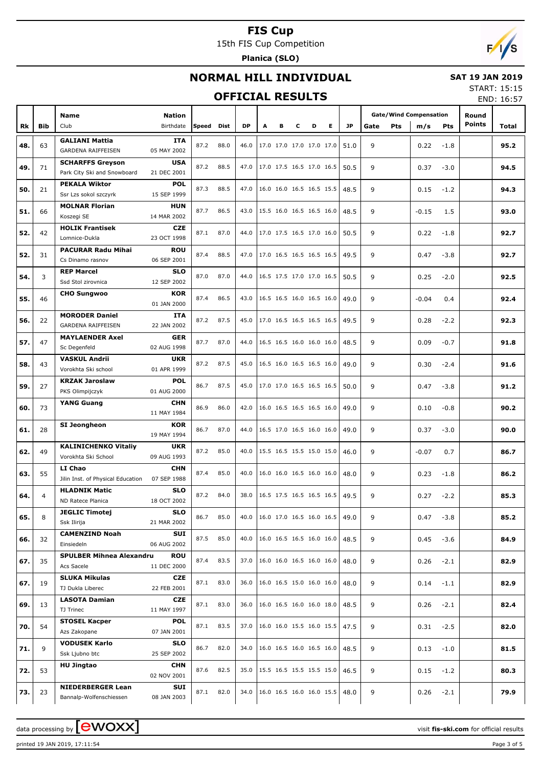15th FIS Cup Competition

**Planica (SLO)**



#### **NORMAL HILL INDIVIDUAL**

#### **SAT 19 JAN 2019**

#### **OFFICIAL RESULTS**

START: 15:15 END: 16:57

|     |                |                                   |               |       |             |           |   |   |   |                          |                          |           |      |            |                               |        |               | END: 10:37 |
|-----|----------------|-----------------------------------|---------------|-------|-------------|-----------|---|---|---|--------------------------|--------------------------|-----------|------|------------|-------------------------------|--------|---------------|------------|
|     |                |                                   |               |       |             |           |   |   |   |                          |                          |           |      |            | <b>Gate/Wind Compensation</b> |        | Round         |            |
|     |                | <b>Name</b>                       | <b>Nation</b> |       |             |           |   |   |   |                          |                          |           |      |            |                               |        | <b>Points</b> |            |
| Rk  | <b>Bib</b>     | Club                              | Birthdate     | Speed | <b>Dist</b> | <b>DP</b> | A | в | c | D                        | Е                        | <b>JP</b> | Gate | <b>Pts</b> | m/s                           | Pts    |               | Total      |
|     |                | <b>GALIANI Mattia</b>             | ITA           |       |             |           |   |   |   |                          |                          |           |      |            |                               |        |               |            |
| 48. | 63             | <b>GARDENA RAIFFEISEN</b>         | 05 MAY 2002   | 87.2  | 88.0        | 46.0      |   |   |   | 17.0 17.0 17.0 17.0 17.0 |                          | 51.0      | 9    |            | 0.22                          | $-1.8$ |               | 95.2       |
|     |                | <b>SCHARFFS Greyson</b>           | <b>USA</b>    |       |             |           |   |   |   |                          |                          |           |      |            |                               |        |               |            |
| 49. | 71             |                                   |               | 87.2  | 88.5        | 47.0      |   |   |   | 17.0 17.5 16.5 17.0 16.5 |                          | 50.5      | 9    |            | 0.37                          | $-3.0$ |               | 94.5       |
|     |                | Park City Ski and Snowboard       | 21 DEC 2001   |       |             |           |   |   |   |                          |                          |           |      |            |                               |        |               |            |
| 50. | 21             | <b>PEKALA Wiktor</b>              | <b>POL</b>    | 87.3  | 88.5        | 47.0      |   |   |   | 16.0 16.0 16.5 16.5 15.5 |                          | 48.5      | 9    |            | 0.15                          | $-1.2$ |               | 94.3       |
|     |                | Ssr Lzs sokol szczyrk             | 15 SEP 1999   |       |             |           |   |   |   |                          |                          |           |      |            |                               |        |               |            |
|     |                | <b>MOLNAR Florian</b>             | HUN           |       |             |           |   |   |   |                          |                          |           |      |            |                               |        |               |            |
| 51. | 66             | Koszegi SE                        | 14 MAR 2002   | 87.7  | 86.5        | 43.0      |   |   |   | 15.5 16.0 16.5 16.5 16.0 |                          | 48.5      | 9    |            | $-0.15$                       | 1.5    |               | 93.0       |
|     |                | <b>HOLIK Frantisek</b>            | <b>CZE</b>    |       |             |           |   |   |   |                          |                          |           |      |            |                               |        |               |            |
| 52. | 42             |                                   |               | 87.1  | 87.0        | 44.0      |   |   |   | 17.0 17.5 16.5 17.0 16.0 |                          | 50.5      | 9    |            | 0.22                          | $-1.8$ |               | 92.7       |
|     |                | Lomnice-Dukla                     | 23 OCT 1998   |       |             |           |   |   |   |                          |                          |           |      |            |                               |        |               |            |
| 52. | 31             | <b>PACURAR Radu Mihai</b>         | <b>ROU</b>    | 87.4  | 88.5        | 47.0      |   |   |   | 17.0 16.5 16.5 16.5 16.5 |                          | 49.5      | 9    |            | 0.47                          | $-3.8$ |               | 92.7       |
|     |                | Cs Dinamo rasnov                  | 06 SEP 2001   |       |             |           |   |   |   |                          |                          |           |      |            |                               |        |               |            |
|     |                | <b>REP Marcel</b>                 | <b>SLO</b>    |       |             |           |   |   |   |                          |                          |           |      |            |                               |        |               |            |
| 54. | 3              | Ssd Stol zirovnica                | 12 SEP 2002   | 87.0  | 87.0        | 44.0      |   |   |   | 16.5 17.5 17.0 17.0 16.5 |                          | 50.5      | 9    |            | 0.25                          | $-2.0$ |               | 92.5       |
|     |                | <b>CHO Sungwoo</b>                | <b>KOR</b>    |       |             |           |   |   |   |                          |                          |           |      |            |                               |        |               |            |
| 55. | 46             |                                   |               | 87.4  | 86.5        | 43.0      |   |   |   | 16.5 16.5 16.0 16.5 16.0 |                          | 49.0      | 9    |            | $-0.04$                       | 0.4    |               | 92.4       |
|     |                |                                   | 01 JAN 2000   |       |             |           |   |   |   |                          |                          |           |      |            |                               |        |               |            |
| 56. | 22             | <b>MORODER Daniel</b>             | ITA           | 87.2  | 87.5        | 45.0      |   |   |   | 17.0 16.5 16.5 16.5 16.5 |                          | 49.5      | 9    |            | 0.28                          | $-2.2$ |               | 92.3       |
|     |                | <b>GARDENA RAIFFEISEN</b>         | 22 JAN 2002   |       |             |           |   |   |   |                          |                          |           |      |            |                               |        |               |            |
|     |                | <b>MAYLAENDER Axel</b>            | <b>GER</b>    |       |             |           |   |   |   | 16.5 16.5 16.0 16.0 16.0 |                          |           |      |            |                               |        |               |            |
| 57. | 47             | Sc Degenfeld                      | 02 AUG 1998   | 87.7  | 87.0        | 44.0      |   |   |   |                          |                          | 48.5      | 9    |            | 0.09                          | $-0.7$ |               | 91.8       |
|     |                | <b>VASKUL Andrii</b>              | <b>UKR</b>    |       |             |           |   |   |   |                          |                          |           |      |            |                               |        |               |            |
| 58. | 43             | Vorokhta Ski school               | 01 APR 1999   | 87.2  | 87.5        | 45.0      |   |   |   | 16.5 16.0 16.5 16.5 16.0 |                          | 49.0      | 9    |            | 0.30                          | $-2.4$ |               | 91.6       |
|     |                |                                   |               |       |             |           |   |   |   |                          |                          |           |      |            |                               |        |               |            |
| 59. | 27             | <b>KRZAK Jaroslaw</b>             | <b>POL</b>    | 86.7  | 87.5        | 45.0      |   |   |   | 17.0 17.0 16.5 16.5 16.5 |                          | 50.0      | 9    |            | 0.47                          | $-3.8$ |               | 91.2       |
|     |                | PKS Olimpijczyk                   | 01 AUG 2000   |       |             |           |   |   |   |                          |                          |           |      |            |                               |        |               |            |
| 60. | 73             | <b>YANG Guang</b>                 | <b>CHN</b>    | 86.9  | 86.0        | 42.0      |   |   |   | 16.0 16.5 16.5 16.5 16.0 |                          | 49.0      | 9    |            | 0.10                          | $-0.8$ |               | 90.2       |
|     |                |                                   | 11 MAY 1984   |       |             |           |   |   |   |                          |                          |           |      |            |                               |        |               |            |
|     |                | SI Jeongheon                      | <b>KOR</b>    |       |             |           |   |   |   |                          |                          |           |      |            |                               |        |               |            |
| 61. | 28             |                                   | 19 MAY 1994   | 86.7  | 87.0        | 44.0      |   |   |   | 16.5 17.0 16.5 16.0 16.0 |                          | 49.0      | 9    |            | 0.37                          | $-3.0$ |               | 90.0       |
|     |                |                                   | <b>UKR</b>    |       |             |           |   |   |   |                          |                          |           |      |            |                               |        |               |            |
| 62. | 49             | <b>KALINICHENKO Vitaliy</b>       |               | 87.2  | 85.0        | 40.0      |   |   |   | 15.5 16.5 15.5 15.0 15.0 |                          | 46.0      | 9    |            | $-0.07$                       | 0.7    |               | 86.7       |
|     |                | Vorokhta Ski School               | 09 AUG 1993   |       |             |           |   |   |   |                          |                          |           |      |            |                               |        |               |            |
| 63. | 55             | LI Chao                           | <b>CHN</b>    | 87.4  | 85.0        | 40.0      |   |   |   |                          | 16.0 16.0 16.5 16.0 16.0 | 48.0      | 9    |            | 0.23                          | $-1.8$ |               | 86.2       |
|     |                | Jilin Inst. of Physical Education | 07 SEP 1988   |       |             |           |   |   |   |                          |                          |           |      |            |                               |        |               |            |
|     |                | <b>HLADNIK Matic</b>              | <b>SLO</b>    |       |             |           |   |   |   |                          |                          |           |      |            |                               |        |               |            |
| 64. | $\overline{4}$ | ND Ratece Planica                 | 18 OCT 2002   | 87.2  | 84.0        | 38.0      |   |   |   |                          | 16.5 17.5 16.5 16.5 16.5 | 49.5      | 9    |            | 0.27                          | $-2.2$ |               | 85.3       |
|     |                | <b>JEGLIC Timotej</b>             | <b>SLO</b>    |       |             |           |   |   |   |                          |                          |           |      |            |                               |        |               |            |
| 65. | 8              | Ssk Ilirija                       | 21 MAR 2002   | 86.7  | 85.0        | 40.0      |   |   |   |                          | 16.0 17.0 16.5 16.0 16.5 | 49.0      | 9    |            | 0.47                          | $-3.8$ |               | 85.2       |
|     |                |                                   |               |       |             |           |   |   |   |                          |                          |           |      |            |                               |        |               |            |
| 66. | 32             | <b>CAMENZIND Noah</b>             | SUI           | 87.5  | 85.0        | 40.0      |   |   |   |                          | 16.0 16.5 16.5 16.0 16.0 | 48.5      | 9    |            | 0.45                          | $-3.6$ |               | 84.9       |
|     |                | Einsiedeln                        | 06 AUG 2002   |       |             |           |   |   |   |                          |                          |           |      |            |                               |        |               |            |
| 67. | 35             | <b>SPULBER Mihnea Alexandru</b>   | ROU           | 87.4  | 83.5        | 37.0      |   |   |   |                          | 16.0 16.0 16.5 16.0 16.0 | 48.0      | 9    |            | 0.26                          | $-2.1$ |               | 82.9       |
|     |                | Acs Sacele                        | 11 DEC 2000   |       |             |           |   |   |   |                          |                          |           |      |            |                               |        |               |            |
|     |                | <b>SLUKA Mikulas</b>              | <b>CZE</b>    |       |             |           |   |   |   |                          |                          |           |      |            |                               |        |               |            |
| 67. | 19             | TJ Dukla Liberec                  | 22 FEB 2001   | 87.1  | 83.0        | 36.0      |   |   |   |                          | 16.0 16.5 15.0 16.0 16.0 | 48.0      | 9    |            | 0.14                          | $-1.1$ |               | 82.9       |
|     |                | <b>LASOTA Damian</b>              | <b>CZE</b>    |       |             |           |   |   |   |                          |                          |           |      |            |                               |        |               |            |
| 69. | 13             |                                   |               | 87.1  | 83.0        | 36.0      |   |   |   |                          | 16.0 16.5 16.0 16.0 18.0 | 48.5      | 9    |            | 0.26                          | $-2.1$ |               | 82.4       |
|     |                | TJ Trinec                         | 11 MAY 1997   |       |             |           |   |   |   |                          |                          |           |      |            |                               |        |               |            |
| 70. | 54             | <b>STOSEL Kacper</b>              | <b>POL</b>    | 87.1  | 83.5        | 37.0      |   |   |   |                          | 16.0 16.0 15.5 16.0 15.5 | 47.5      | 9    |            | 0.31                          | $-2.5$ |               | 82.0       |
|     |                | Azs Zakopane                      | 07 JAN 2001   |       |             |           |   |   |   |                          |                          |           |      |            |                               |        |               |            |
|     |                | <b>VODUSEK Karlo</b>              | <b>SLO</b>    |       |             |           |   |   |   |                          |                          |           |      |            |                               |        |               |            |
| 71. | 9              | Ssk Ljubno btc                    | 25 SEP 2002   | 86.7  | 82.0        | 34.0      |   |   |   |                          | 16.0 16.5 16.0 16.5 16.0 | 48.5      | 9    |            | 0.13                          | $-1.0$ |               | 81.5       |
|     |                | <b>HU Jingtao</b>                 | <b>CHN</b>    |       |             |           |   |   |   |                          |                          |           |      |            |                               |        |               |            |
| 72. | 53             |                                   | 02 NOV 2001   | 87.6  | 82.5        | 35.0      |   |   |   |                          | 15.5 16.5 15.5 15.5 15.0 | 46.5      | 9    |            | 0.15                          | $-1.2$ |               | 80.3       |
|     |                |                                   |               |       |             |           |   |   |   |                          |                          |           |      |            |                               |        |               |            |
| 73. | 23             | <b>NIEDERBERGER Lean</b>          | SUI           | 87.1  | 82.0        | 34.0      |   |   |   |                          | 16.0 16.5 16.0 16.0 15.5 | 48.0      | 9    |            | 0.26                          | $-2.1$ |               | 79.9       |
|     |                | Bannalp-Wolfenschiessen           | 08 JAN 2003   |       |             |           |   |   |   |                          |                          |           |      |            |                               |        |               |            |

printed 19 JAN 2019, 17:11:54 Page 3 of 5

data processing by **CWOXX** and  $\overline{A}$  and  $\overline{B}$  wisit **fis-ski.com** for official results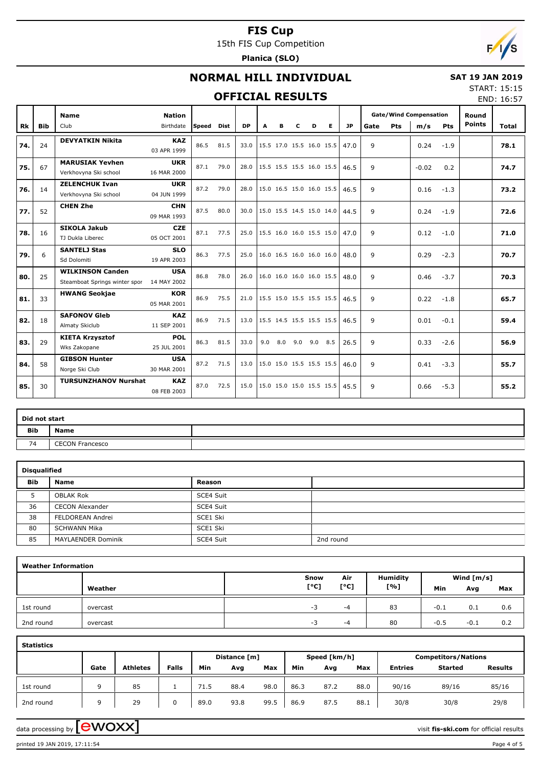15th FIS Cup Competition

**Planica (SLO)**



## **NORMAL HILL INDIVIDUAL**

#### **SAT 19 JAN 2019**

#### **OFFICIAL RESULTS**

START: 15:15 END: 16:57

|     |            | <b>Name</b>                                              | <b>Nation</b>             |        |      |           |     |                          |     |     |     |           |              |            | <b>Gate/Wind Compensation</b> |            | Round         |       |
|-----|------------|----------------------------------------------------------|---------------------------|--------|------|-----------|-----|--------------------------|-----|-----|-----|-----------|--------------|------------|-------------------------------|------------|---------------|-------|
| Rk  | <b>Bib</b> | Club                                                     | Birthdate                 | lSpeed | Dist | <b>DP</b> | A   | в                        | c   | D   | Е   | <b>JP</b> | Gate         | <b>Pts</b> | m/s                           | <b>Pts</b> | <b>Points</b> | Total |
| 74. | 24         | <b>DEVYATKIN Nikita</b>                                  | <b>KAZ</b><br>03 APR 1999 | 86.5   | 81.5 | 33.0      |     | 15.5 17.0 15.5 16.0 15.5 |     |     |     | 47.0      | 9            |            | 0.24                          | $-1.9$     |               | 78.1  |
| 75. | 67         | <b>MARUSIAK Yevhen</b><br>Verkhovyna Ski school          | <b>UKR</b><br>16 MAR 2000 | 87.1   | 79.0 | 28.0      |     | 15.5 15.5 15.5 16.0 15.5 |     |     |     | 46.5      | 9            |            | $-0.02$                       | 0.2        |               | 74.7  |
| 76. | 14         | <b>ZELENCHUK Ivan</b><br>Verkhovyna Ski school           | <b>UKR</b><br>04 JUN 1999 | 87.2   | 79.0 | 28.0      |     | 15.0 16.5 15.0 16.0 15.5 |     |     |     | 46.5      | 9            |            | 0.16                          | $-1.3$     |               | 73.2  |
| 77. | 52         | <b>CHEN Zhe</b>                                          | <b>CHN</b><br>09 MAR 1993 | 87.5   | 80.0 | 30.0      |     | 15.0 15.5 14.5 15.0 14.0 |     |     |     | 44.5      | 9            |            | 0.24                          | $-1.9$     |               | 72.6  |
| 78. | 16         | <b>SIKOLA Jakub</b><br>TJ Dukla Liberec                  | <b>CZE</b><br>05 OCT 2001 | 87.1   | 77.5 | 25.0      |     | 15.5 16.0 16.0 15.5 15.0 |     |     |     | 47.0      | $\mathsf{q}$ |            | 0.12                          | $-1.0$     |               | 71.0  |
| 79. | 6          | <b>SANTELJ Stas</b><br>Sd Dolomiti                       | <b>SLO</b><br>19 APR 2003 | 86.3   | 77.5 | 25.0      |     | 16.0 16.5 16.0 16.0 16.0 |     |     |     | 48.0      | 9            |            | 0.29                          | $-2.3$     |               | 70.7  |
| 80. | 25         | <b>WILKINSON Canden</b><br>Steamboat Springs winter spor | <b>USA</b><br>14 MAY 2002 | 86.8   | 78.0 | 26.0      |     | 16.0 16.0 16.0 16.0 15.5 |     |     |     | 48.0      | 9            |            | 0.46                          | $-3.7$     |               | 70.3  |
| 81. | 33         | <b>HWANG Seokjae</b>                                     | <b>KOR</b><br>05 MAR 2001 | 86.9   | 75.5 | 21.0      |     | 15.5 15.0 15.5 15.5 15.5 |     |     |     | 46.5      | 9            |            | 0.22                          | $-1.8$     |               | 65.7  |
| 82. | 18         | <b>SAFONOV Gleb</b><br>Almaty Skiclub                    | <b>KAZ</b><br>11 SEP 2001 | 86.9   | 71.5 | 13.0      |     | 15.5 14.5 15.5 15.5 15.5 |     |     |     | 46.5      | 9            |            | 0.01                          | $-0.1$     |               | 59.4  |
| 83. | 29         | <b>KIETA Krzysztof</b><br>Wks Zakopane                   | <b>POL</b><br>25 JUL 2001 | 86.3   | 81.5 | 33.0      | 9.0 | 8.0                      | 9.0 | 9.0 | 8.5 | 26.5      | 9            |            | 0.33                          | $-2.6$     |               | 56.9  |
| 84. | 58         | <b>GIBSON Hunter</b><br>Norge Ski Club                   | <b>USA</b><br>30 MAR 2001 | 87.2   | 71.5 | 13.0      |     | 15.0 15.0 15.5 15.5 15.5 |     |     |     | 46.0      | 9            |            | 0.41                          | $-3.3$     |               | 55.7  |
| 85. | 30         | <b>TURSUNZHANOV Nurshat</b>                              | <b>KAZ</b><br>08 FEB 2003 | 87.0   | 72.5 | 15.0      |     | 15.0 15.0 15.0 15.5 15.5 |     |     |     | 45.5      | 9            |            | 0.66                          | $-5.3$     |               | 55.2  |

| Did not start |                        |  |
|---------------|------------------------|--|
| Bib           | <b>Name</b>            |  |
| 74            | <b>CECON Francesco</b> |  |

| <b>Disqualified</b> |                        |           |           |
|---------------------|------------------------|-----------|-----------|
| <b>Bib</b>          | <b>Name</b>            | Reason    |           |
|                     | <b>OBLAK Rok</b>       | SCE4 Suit |           |
| 36                  | <b>CECON Alexander</b> | SCE4 Suit |           |
| 38                  | FELDOREAN Andrei       | SCE1 Ski  |           |
| 80                  | SCHWANN Mika           | SCE1 Ski  |           |
| 85                  | MAYLAENDER Dominik     | SCE4 Suit | 2nd round |

| <b>Weather Information</b> |          |      |      |                 |        |              |     |
|----------------------------|----------|------|------|-----------------|--------|--------------|-----|
|                            |          | Snow | Air  | <b>Humidity</b> |        | Wind $[m/s]$ |     |
|                            | Weather  | [°C] | [°C] | [%]             | Min    | Avg          | Max |
| 1st round                  | overcast | $-3$ | -4   | 83              | $-0.1$ | 0.1          | 0.6 |
| 2nd round                  | overcast | -3   | -4   | 80              | $-0.5$ | $-0.1$       | 0.2 |

| <b>Statistics</b> |      |                 |              |      |              |      |      |              |      |                |                            |                |
|-------------------|------|-----------------|--------------|------|--------------|------|------|--------------|------|----------------|----------------------------|----------------|
|                   |      |                 |              |      | Distance [m] |      |      | Speed [km/h] |      |                | <b>Competitors/Nations</b> |                |
|                   | Gate | <b>Athletes</b> | <b>Falls</b> | Min  | Avg          | Max  | Min  | Avg          | Max  | <b>Entries</b> | <b>Started</b>             | <b>Results</b> |
| 1st round         | ۵    | 85              |              | 71.5 | 88.4         | 98.0 | 86.3 | 87.2         | 88.0 | 90/16          | 89/16                      | 85/16          |
| 2nd round         | ۵    | 29              |              | 89.0 | 93.8         | 99.5 | 86.9 | 87.5         | 88.1 | 30/8           | 30/8                       | 29/8           |

data processing by **CWOXX**  $\blacksquare$ 

printed 19 JAN 2019, 17:11:54 Page 4 of 5